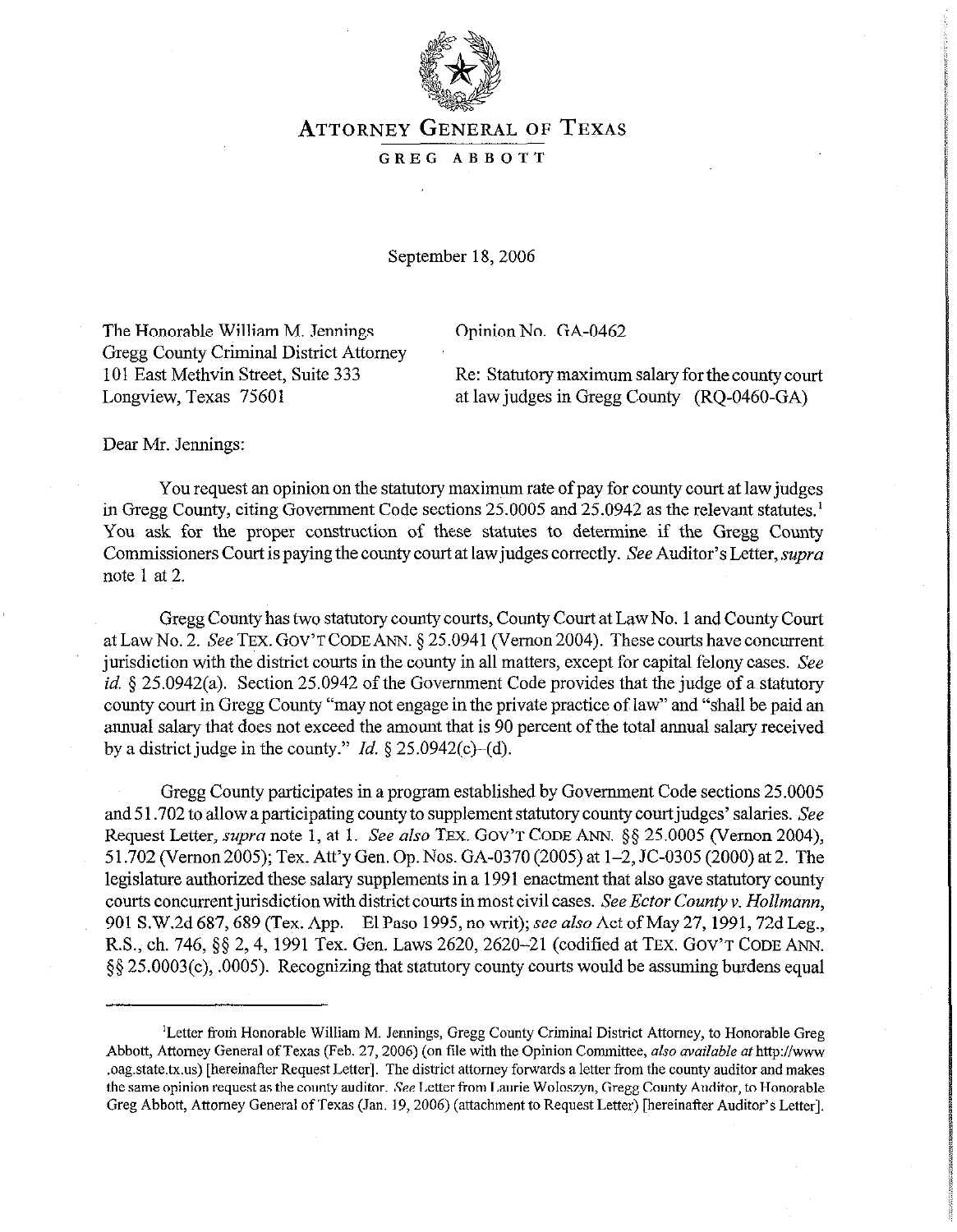

## **ATTORNEY GENERAL** OF **TEXAS**

## GREG ABBOTT

September 18, 2006

The Honorable William M. Jennings Opinion No. GA-0462 Gregg County Criminal District Attorney

101 East Methvin Street, Suite 333 Re: Statutory maximum salary for the county court Longview, Texas 75601 at law judges in Gregg County (RO-0460-GA)

Dear Mr. Jennings:

You request an opinion on the statutory maximum rate of pay for county court at law judges in Gregg County, citing Government Code sections 25.0005 and 25.0942 as the relevant statutes.' You ask for the proper construction of these statutes to determine if the Gregg County Commissioners Court is paying the county court at law judges correctly. See Auditor's Letter, supra note 1 at 2.

Gregg County has two statutory county courts, County Court at Law No. 1 and County Court at Law No. 2. See TEX. GOV'T CODE ANN. § 25.0941 (Vernon 2004). These courts have concurrent jurisdiction with the district courts in the county in all matters, except for capital felony cases. See id.  $\S 25.0942(a)$ . Section 25.0942 of the Government Code provides that the judge of a statutory county court in Gregg County "may not engage in the private practice of law" and "shall be paid an annual salary that does not exceed the amount that is 90 percent of the total annual salary received by a district judge in the county." *Id.*  $\S$  25.0942(c)–(d).

Gregg County participates in a program established by Government Code sections 25.0005 and 51.702 to allow a participating county to supplement statutory county court judges' salaries. See Request Letter, supra note 1, at 1. See also TEx. GOV'T CODE ANN. \$5 25.0005 (Vernon 2004), 5 1.702 (Vernon 2005); Tex. Att'y Gen. Op. Nos. GA-0370 (2005) at 1-2, JC-0305 (2000) at 2. The legislature authorized these salary supplements in a 1991 enactment that also gave statutory county courts concurrent jurisdiction with district courts in most civil cases. See Ector County v. *Hollmann*, 901 S.W.2d 687, 689 (Tex. App.—El Paso 1995, no writ); see also Act of May 27, 1991, 72d Leg., R.S., ch. 746, §§ 2, 4, 1991 Tex. Gen. Laws 2620, 2620-21 (codified at TEX. GOV'T CODE ANN. 55 25.0003(c), .0005). Recognizing that statutory county courts would be assuming burdens equal

<sup>&#</sup>x27;Letter from Honorable William M. Jennings, Gregg County Criminal District Attorney, to Honorable Greg Abbott, Attorney General of Texas (Feb. 27, 2006) (on file with the Opinion Committee, *also available at* http://www .oag.state.tx.us) [hereinafter Request Letter]. The district attorney forwards a letter from the county auditor and makes the same opinion request as the county auditor. See Letter from Laurie Woloszyn, Gregg County Auditor, to Honorable Greg Abbott, Attorney General of Texas (Jan. 19,2006) (attachment to Request Letter) [hereinafter Auditor's Letter].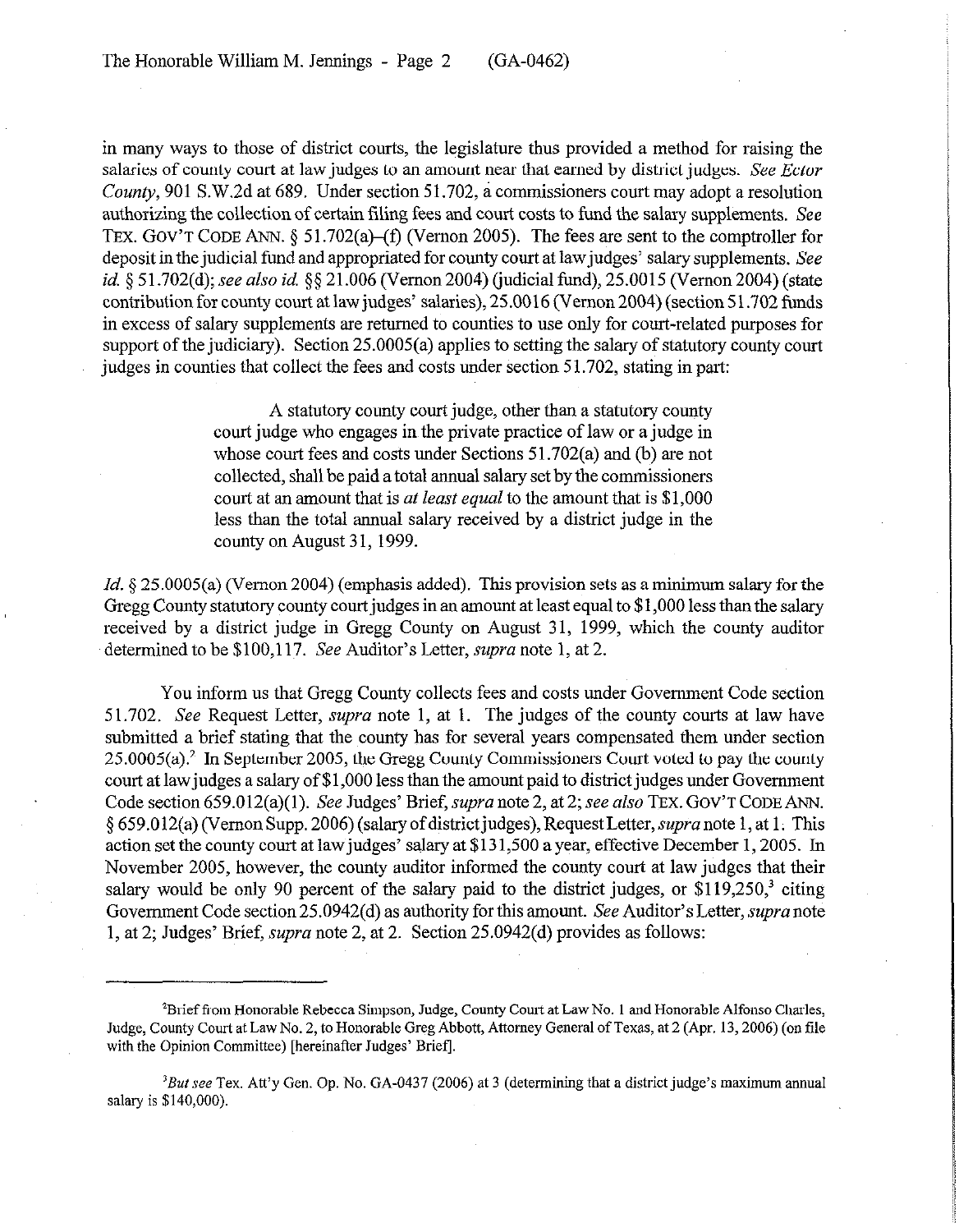in many ways to those of district courts, the legislature thus provided a method for raising the salaries of county court at law judges to an amount near that earned by district judges. See *Ector*  County, 901 S.W.2d at 689. Under section 51.702, a commissioners court may adopt a resolution authorizing the collection of certain filing fees and court costs to fund the salary supplements. See TEX. GOV'T CODE ANN.  $\S$  51.702(a)–(f) (Vernon 2005). The fees are sent to the comptroller for deposit in the judicial fund and appropriated for county court at law judges' salary supplements. See *id.* § 51.702(d); see also *id.* §§ 21.006 (Vernon 2004) (judicial fund), 25.0015 (Vernon 2004) (state contribution for county court at law judges' salaries), 25.0016 (Vernon 2004) (section 51.702 funds in excess of salary supplements are returned to counties to use only for court-related purposes for support of the judiciary). Section 25.0005(a) applies to setting the salary of statutory county court judges in counties that collect the fees and costs under section 51.702, stating in part:

> A statutory county court judge, other than a statutory county court judge who engages in the private practice of law or a judge in whose court fees and costs under Sections 51.702(a) and (b) are not collected, shall be paid a total annual salary set by the commissioners court at an amount that is *at least equal* to the amount that is \$1,000 less than the total annual salary received by a district judge in the county on August 31,1999.

*Id.* § 25.0005(a) (Vernon 2004) (emphasis added). This provision sets as a minimum salary for the Gregg County statutory county court judges in an amount at least equal to \$1,000 less than the salary received by a district judge in Gregg County on August 31, 1999, which the county auditor determined to be \$100,117. See Auditor's Letter, *supra* note 1, at 2.

You inform us that Gregg County collects fees and costs under Government Code section 51.702. See Request Letter, *supra* note 1, at 1. The judges of the county courts at law have submitted a brief stating that the county has for several years compensated them under section 25.0005(a)? In September 2005, the Gregg County Commissioners Court voted to pay the county court at lawjudges a salary of \$1,000 less than the amount paid to district judges under Government Code section 659.012(a)(l). See Judges' Brief, *supra* note 2, at 2; see also TEX. GOV'T CODE ANN. 5 659.012(a) (Vernon Supp. 2006) (salaryofdistrictjudges),RequestLetter, supranote 1, at 1. This action set the county court at lawjudges' salary at \$131,500 a year, effective December 1,2005. In November 2005, however, the county auditor informed the county court at law judges that their salary would be only 90 percent of the salary paid to the district judges, or  $$119,250$ <sup>3</sup> citing Government Code section 25.0942(d) as authority for this amount. See Auditor's Letter, *supra* note 1, at 2; Judges' Brief, *supra* note 2, at 2. Section 25.0942(d) provides as follows:

<sup>&#</sup>x27;Brief from Honorable Rebecca Simpson, Judge, County Court at Law No. 1 and Honorable Alfonso Charles, Judge, County Court at Law No. 2, to Honorable Greg Abbott, Attorney General of Texas, at 2 (Apr. 13,2006) (on tile with the Opinion Committee) [hereinafter Judges' Brief].

 $3But$  see Tex. Att'y Gen. Op. No. GA-0437 (2006) at 3 (determining that a district judge's maximum annual salary is \$140,000).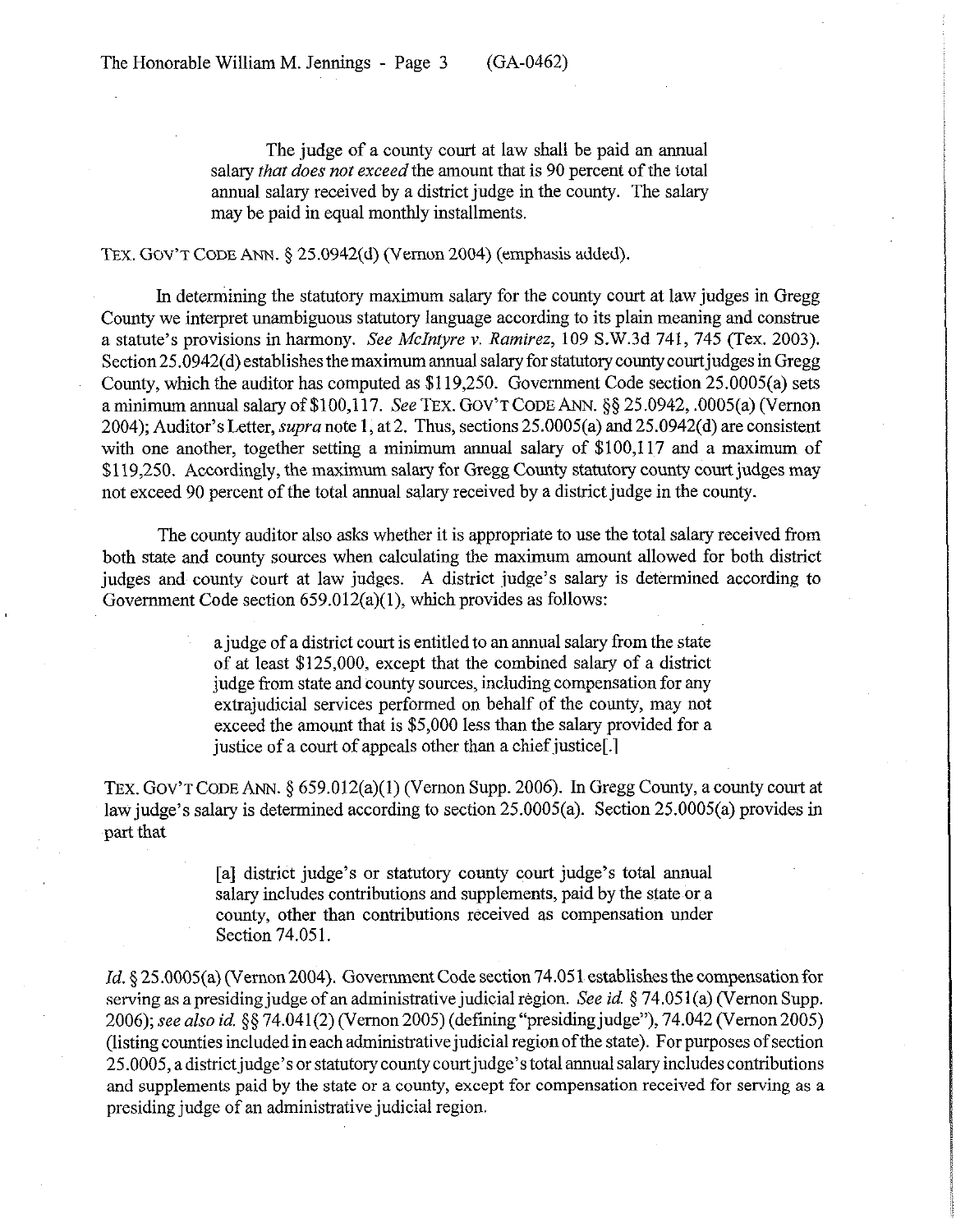The judge of a county court at law shall be paid an annual salary *that does not exceed* the amount that is 90 percent of the total annual salary received by a district judge in the county. The salary may be paid in equal monthly installments.

TEx. **GOV'T CODE** ANN. § 25.0942(d) (Vernon 2004) (emphasis added).

In determining the statutory maximum salary for the county court at law judges in Gregg County we interpret unambiguous statutory language according to its plain meaning and construe a statute's provisions in harmony. *See McIntyre v. Ramirez,* 109 S.W.3d 741, 745 (Tex. 2003). Section 25.0942(d) establishes the maximum annual salary for statutory county courtjudges in Gregg County, which the auditor has computed as \$119,250. Government Code section 25.0005(a) sets a minimum annual salary of \$100,117. See TEX. GOV'T CODE ANN. §§ 25.0942, .0005(a) (Vernon 2004); Auditor's Letter, *supra* note 1, at 2. Thus, sections 25.0005(a) and 25.0942(d) are consistent with one another, together setting a minimum annual salary of \$100,117 and a maximum of \$119,250. Accordingly, the maximum salary for Gregg County statutory county court judges may not exceed 90 percent of the total annual salary received by a district judge in the county.

The county auditor also asks whether it is appropriate to use the total salary received from both state and county sources when calculating the maximum amount allowed for both district judges and county court at law judges. A district judge's salary is determined according to Government Code section 659.012(a)(1), which provides as follows:

> a judge of a district court is entitled to an annual salary from the state of at least \$125,000, except that the combined salary of a district judge from state and county sources, including compensation for any extrajudicial services performed on behalf of the county, may not exceed the amount that is \$5,000 less than the salary provided for a justice of a court of appeals other than a chief justice[.]

TEX. **GOV'T CODE** ANN. 5 659.012(a)(l) (Vernon Supp. 2006). In Gregg County, a county court at law judge's salary is determined according to section 25.0005(a). Section 25.0005(a) provides in part that

> [a] district judge's or statutory county court judge's total annual salary includes contributions and supplements, paid by the state or a county, other than contributions received as compensation under Section 74.051.

*Id.* § 25.0005(a) (Vernon 2004). Government Code section 74.051 establishes the compensation for serving as a presiding judge of an administrative judicial region. See *id. §* 74.051 (a) (Vernon Supp. *2006); see also id. 5s* 74.041(2) (V emon 2005) (defining "presiding judge"), 74.042 (Vernon 2005) (listing counties included in each administrative judicial region of the state). For purposes of section 25.0005, a district judge's or statutory county court judge's total annual salary includes contributions and supplements paid by the state or a county, except for compensation received for serving as a presiding judge of an administrative judicial region.